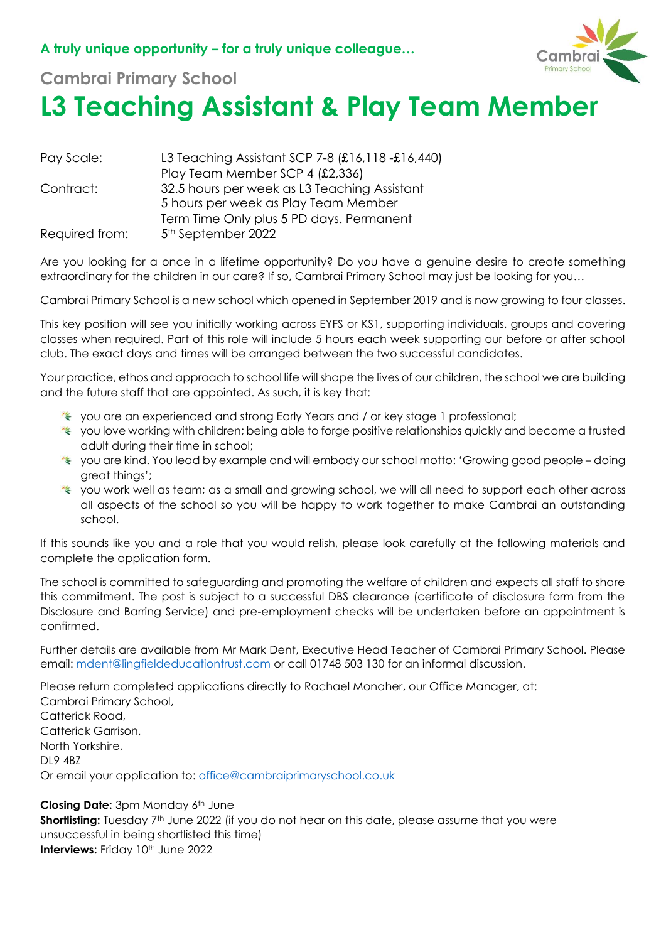

## **Cambrai Primary School**

## **L3 Teaching Assistant & Play Team Member**

| Pay Scale:     | L3 Teaching Assistant SCP 7-8 (£16,118 -£16,440) |
|----------------|--------------------------------------------------|
|                | Play Team Member SCP 4 (£2,336)                  |
| Contract:      | 32.5 hours per week as L3 Teaching Assistant     |
|                | 5 hours per week as Play Team Member             |
|                | Term Time Only plus 5 PD days. Permanent         |
| Required from: | 5 <sup>th</sup> September 2022                   |

Are you looking for a once in a lifetime opportunity? Do you have a genuine desire to create something extraordinary for the children in our care? If so, Cambrai Primary School may just be looking for you...

Cambrai Primary School is a new school which opened in September 2019 and is now growing to four classes.

This key position will see you initially working across EYFS or KS1, supporting individuals, groups and covering classes when required. Part of this role will include 5 hours each week supporting our before or after school club. The exact days and times will be arranged between the two successful candidates.

Your practice, ethos and approach to school life will shape the lives of our children, the school we are building and the future staff that are appointed. As such, it is key that:

- you are an experienced and strong Early Years and / or key stage 1 professional;
- \* you love working with children; being able to forge positive relationships quickly and become a trusted adult during their time in school;
- you are kind. You lead by example and will embody our school motto: 'Growing good people doing great things';
- you work well as team; as a small and growing school, we will all need to support each other across all aspects of the school so you will be happy to work together to make Cambrai an outstanding school.

If this sounds like you and a role that you would relish, please look carefully at the following materials and complete the application form.

The school is committed to safeguarding and promoting the welfare of children and expects all staff to share this commitment. The post is subject to a successful DBS clearance (certificate of disclosure form from the Disclosure and Barring Service) and pre-employment checks will be undertaken before an appointment is confirmed.

Further details are available from Mr Mark Dent, Executive Head Teacher of Cambrai Primary School. Please email: [mdent@lingfieldeducationtrust.com](mailto:mdent@lingfieldeducationtrust.com) or call 01748 503 130 for an informal discussion.

Please return completed applications directly to Rachael Monaher, our Office Manager, at: Cambrai Primary School, Catterick Road, Catterick Garrison, North Yorkshire, DL9 4BZ Or email your application to: [office@cambraiprimaryschool.co.uk](mailto:office@cambraiprimaryschool.co.uk)

**Closing Date:** 3pm Monday 6<sup>th</sup> June **Shortlisting:** Tuesday 7<sup>th</sup> June 2022 (if you do not hear on this date, please assume that you were unsuccessful in being shortlisted this time) **Interviews: Friday 10th June 2022**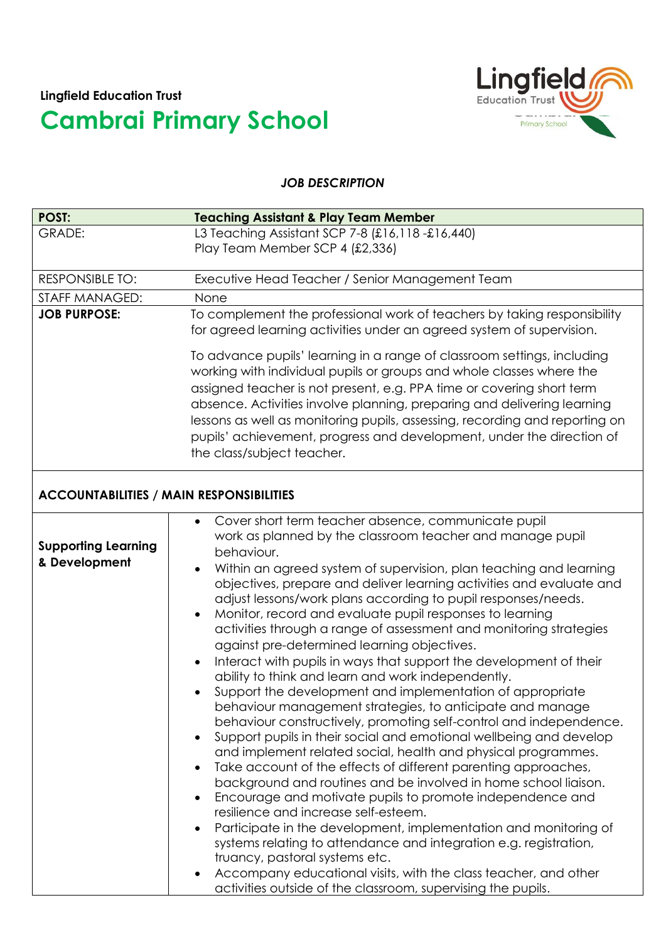

## *JOB DESCRIPTION*

| <b>POST:</b>                                    | <b>Teaching Assistant &amp; Play Team Member</b>                                                                                                                                                                                                                                                                                                                                                                                                                                                                                                                                                                                                                                                                                                                                                                                                                                                                                                                                                                                                                                                                                                                                                                                                                                                                                                                                                                                                                                                                                                                                                                                             |  |
|-------------------------------------------------|----------------------------------------------------------------------------------------------------------------------------------------------------------------------------------------------------------------------------------------------------------------------------------------------------------------------------------------------------------------------------------------------------------------------------------------------------------------------------------------------------------------------------------------------------------------------------------------------------------------------------------------------------------------------------------------------------------------------------------------------------------------------------------------------------------------------------------------------------------------------------------------------------------------------------------------------------------------------------------------------------------------------------------------------------------------------------------------------------------------------------------------------------------------------------------------------------------------------------------------------------------------------------------------------------------------------------------------------------------------------------------------------------------------------------------------------------------------------------------------------------------------------------------------------------------------------------------------------------------------------------------------------|--|
| GRADE:                                          | L3 Teaching Assistant SCP 7-8 (£16,118 -£16,440)                                                                                                                                                                                                                                                                                                                                                                                                                                                                                                                                                                                                                                                                                                                                                                                                                                                                                                                                                                                                                                                                                                                                                                                                                                                                                                                                                                                                                                                                                                                                                                                             |  |
|                                                 | Play Team Member SCP 4 (£2,336)                                                                                                                                                                                                                                                                                                                                                                                                                                                                                                                                                                                                                                                                                                                                                                                                                                                                                                                                                                                                                                                                                                                                                                                                                                                                                                                                                                                                                                                                                                                                                                                                              |  |
| <b>RESPONSIBLE TO:</b>                          | Executive Head Teacher / Senior Management Team                                                                                                                                                                                                                                                                                                                                                                                                                                                                                                                                                                                                                                                                                                                                                                                                                                                                                                                                                                                                                                                                                                                                                                                                                                                                                                                                                                                                                                                                                                                                                                                              |  |
| STAFF MANAGED:                                  | None                                                                                                                                                                                                                                                                                                                                                                                                                                                                                                                                                                                                                                                                                                                                                                                                                                                                                                                                                                                                                                                                                                                                                                                                                                                                                                                                                                                                                                                                                                                                                                                                                                         |  |
| <b>JOB PURPOSE:</b>                             | To complement the professional work of teachers by taking responsibility<br>for agreed learning activities under an agreed system of supervision.                                                                                                                                                                                                                                                                                                                                                                                                                                                                                                                                                                                                                                                                                                                                                                                                                                                                                                                                                                                                                                                                                                                                                                                                                                                                                                                                                                                                                                                                                            |  |
|                                                 | To advance pupils' learning in a range of classroom settings, including<br>working with individual pupils or groups and whole classes where the<br>assigned teacher is not present, e.g. PPA time or covering short term<br>absence. Activities involve planning, preparing and delivering learning<br>lessons as well as monitoring pupils, assessing, recording and reporting on<br>pupils' achievement, progress and development, under the direction of<br>the class/subject teacher.                                                                                                                                                                                                                                                                                                                                                                                                                                                                                                                                                                                                                                                                                                                                                                                                                                                                                                                                                                                                                                                                                                                                                    |  |
| <b>ACCOUNTABILITIES / MAIN RESPONSIBILITIES</b> |                                                                                                                                                                                                                                                                                                                                                                                                                                                                                                                                                                                                                                                                                                                                                                                                                                                                                                                                                                                                                                                                                                                                                                                                                                                                                                                                                                                                                                                                                                                                                                                                                                              |  |
| <b>Supporting Learning</b><br>& Development     | Cover short term teacher absence, communicate pupil<br>work as planned by the classroom teacher and manage pupil<br>behaviour.<br>Within an agreed system of supervision, plan teaching and learning<br>objectives, prepare and deliver learning activities and evaluate and<br>adjust lessons/work plans according to pupil responses/needs.<br>Monitor, record and evaluate pupil responses to learning<br>$\bullet$<br>activities through a range of assessment and monitoring strategies<br>against pre-determined learning objectives.<br>Interact with pupils in ways that support the development of their<br>$\bullet$<br>ability to think and learn and work independently.<br>Support the development and implementation of appropriate<br>behaviour management strategies, to anticipate and manage<br>behaviour constructively, promoting self-control and independence.<br>Support pupils in their social and emotional wellbeing and develop<br>$\bullet$<br>and implement related social, health and physical programmes.<br>Take account of the effects of different parenting approaches,<br>$\bullet$<br>background and routines and be involved in home school liaison.<br>Encourage and motivate pupils to promote independence and<br>$\bullet$<br>resilience and increase self-esteem.<br>Participate in the development, implementation and monitoring of<br>$\bullet$<br>systems relating to attendance and integration e.g. registration,<br>truancy, pastoral systems etc.<br>Accompany educational visits, with the class teacher, and other<br>٠<br>activities outside of the classroom, supervising the pupils. |  |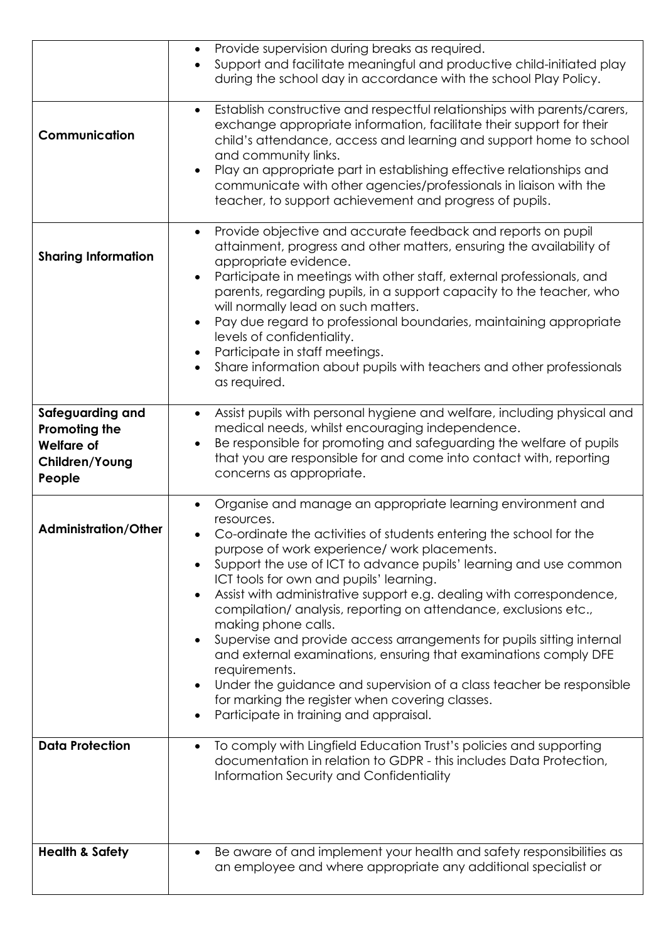|                                                                                    | Provide supervision during breaks as required.<br>$\bullet$<br>Support and facilitate meaningful and productive child-initiated play<br>$\bullet$<br>during the school day in accordance with the school Play Policy.                                                                                                                                                                                                                                                                                                                                                                                                                                                                                                                                                                                                                                                                                    |
|------------------------------------------------------------------------------------|----------------------------------------------------------------------------------------------------------------------------------------------------------------------------------------------------------------------------------------------------------------------------------------------------------------------------------------------------------------------------------------------------------------------------------------------------------------------------------------------------------------------------------------------------------------------------------------------------------------------------------------------------------------------------------------------------------------------------------------------------------------------------------------------------------------------------------------------------------------------------------------------------------|
| Communication                                                                      | Establish constructive and respectful relationships with parents/carers,<br>$\bullet$<br>exchange appropriate information, facilitate their support for their<br>child's attendance, access and learning and support home to school<br>and community links.<br>Play an appropriate part in establishing effective relationships and<br>$\bullet$<br>communicate with other agencies/professionals in liaison with the<br>teacher, to support achievement and progress of pupils.                                                                                                                                                                                                                                                                                                                                                                                                                         |
| <b>Sharing Information</b>                                                         | Provide objective and accurate feedback and reports on pupil<br>$\bullet$<br>attainment, progress and other matters, ensuring the availability of<br>appropriate evidence.<br>Participate in meetings with other staff, external professionals, and<br>$\bullet$<br>parents, regarding pupils, in a support capacity to the teacher, who<br>will normally lead on such matters.<br>Pay due regard to professional boundaries, maintaining appropriate<br>$\bullet$<br>levels of confidentiality.<br>Participate in staff meetings.<br>Share information about pupils with teachers and other professionals<br>as required.                                                                                                                                                                                                                                                                               |
| Safeguarding and<br>Promoting the<br><b>Welfare of</b><br>Children/Young<br>People | Assist pupils with personal hygiene and welfare, including physical and<br>$\bullet$<br>medical needs, whilst encouraging independence.<br>Be responsible for promoting and safeguarding the welfare of pupils<br>$\bullet$<br>that you are responsible for and come into contact with, reporting<br>concerns as appropriate.                                                                                                                                                                                                                                                                                                                                                                                                                                                                                                                                                                            |
| <b>Administration/Other</b>                                                        | Organise and manage an appropriate learning environment and<br>$\bullet$<br>resources.<br>Co-ordinate the activities of students entering the school for the<br>$\bullet$<br>purpose of work experience/ work placements.<br>Support the use of ICT to advance pupils' learning and use common<br>$\bullet$<br>ICT tools for own and pupils' learning.<br>Assist with administrative support e.g. dealing with correspondence,<br>$\bullet$<br>compilation/ analysis, reporting on attendance, exclusions etc.,<br>making phone calls.<br>Supervise and provide access arrangements for pupils sitting internal<br>$\bullet$<br>and external examinations, ensuring that examinations comply DFE<br>requirements.<br>Under the guidance and supervision of a class teacher be responsible<br>$\bullet$<br>for marking the register when covering classes.<br>Participate in training and appraisal.<br>٠ |
| <b>Data Protection</b>                                                             | To comply with Lingfield Education Trust's policies and supporting<br>$\bullet$<br>documentation in relation to GDPR - this includes Data Protection,<br>Information Security and Confidentiality                                                                                                                                                                                                                                                                                                                                                                                                                                                                                                                                                                                                                                                                                                        |
| <b>Health &amp; Safety</b>                                                         | Be aware of and implement your health and safety responsibilities as<br>٠<br>an employee and where appropriate any additional specialist or                                                                                                                                                                                                                                                                                                                                                                                                                                                                                                                                                                                                                                                                                                                                                              |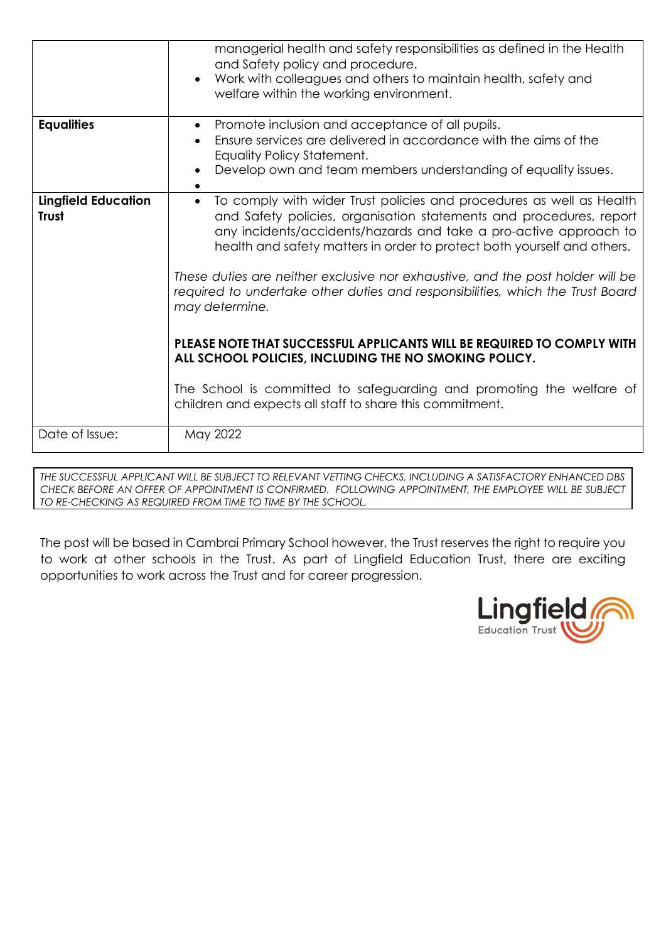|                                            | managerial health and safety responsibilities as defined in the Health<br>and Safety policy and procedure.<br>Work with colleagues and others to maintain health, safety and<br>welfare within the working environment.                                                                                                                                                                                                                                                                                                                                                                                                                                                                                                                                               |
|--------------------------------------------|-----------------------------------------------------------------------------------------------------------------------------------------------------------------------------------------------------------------------------------------------------------------------------------------------------------------------------------------------------------------------------------------------------------------------------------------------------------------------------------------------------------------------------------------------------------------------------------------------------------------------------------------------------------------------------------------------------------------------------------------------------------------------|
| <b>Equalities</b>                          | Promote inclusion and acceptance of all pupils.<br>$\bullet$<br>Ensure services are delivered in accordance with the aims of the<br>Equality Policy Statement.<br>Develop own and team members understanding of equality issues.                                                                                                                                                                                                                                                                                                                                                                                                                                                                                                                                      |
| <b>Lingfield Education</b><br><b>Trust</b> | To comply with wider Trust policies and procedures as well as Health<br>$\bullet$<br>and Safety policies, organisation statements and procedures, report<br>any incidents/accidents/hazards and take a pro-active approach to<br>health and safety matters in order to protect both yourself and others.<br>These duties are neither exclusive nor exhaustive, and the post holder will be<br>required to undertake other duties and responsibilities, which the Trust Board<br>may determine.<br>PLEASE NOTE THAT SUCCESSFUL APPLICANTS WILL BE REQUIRED TO COMPLY WITH<br>ALL SCHOOL POLICIES, INCLUDING THE NO SMOKING POLICY.<br>The School is committed to safeguarding and promoting the welfare of<br>children and expects all staff to share this commitment. |
| Date of Issue:                             | May 2022                                                                                                                                                                                                                                                                                                                                                                                                                                                                                                                                                                                                                                                                                                                                                              |

*THE SUCCESSFUL APPLICANT WILL BE SUBJECT TO RELEVANT VETTING CHECKS, INCLUDING A SATISFACTORY ENHANCED DBS CHECK BEFORE AN OFFER OF APPOINTMENT IS CONFIRMED. FOLLOWING APPOINTMENT, THE EMPLOYEE WILL BE SUBJECT TO RE-CHECKING AS REQUIRED FROM TIME TO TIME BY THE SCHOOL.*

The post will be based in Cambrai Primary School however, the Trust reserves the right to require you to work at other schools in the Trust. As part of Lingfield Education Trust, there are exciting opportunities to work across the Trust and for career progression.

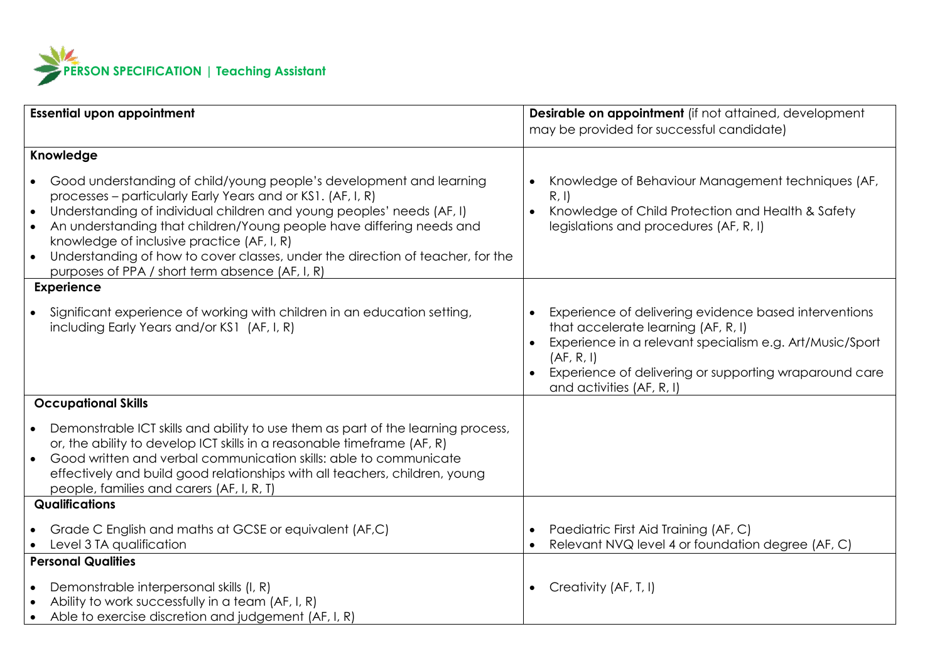

| <b>Essential upon appointment</b>                                                                                                                                                                                                                                                                                                                                                                                                                                                                | Desirable on appointment (if not attained, development<br>may be provided for successful candidate)                                                                                                                                                                                     |  |
|--------------------------------------------------------------------------------------------------------------------------------------------------------------------------------------------------------------------------------------------------------------------------------------------------------------------------------------------------------------------------------------------------------------------------------------------------------------------------------------------------|-----------------------------------------------------------------------------------------------------------------------------------------------------------------------------------------------------------------------------------------------------------------------------------------|--|
|                                                                                                                                                                                                                                                                                                                                                                                                                                                                                                  |                                                                                                                                                                                                                                                                                         |  |
| Knowledge                                                                                                                                                                                                                                                                                                                                                                                                                                                                                        |                                                                                                                                                                                                                                                                                         |  |
| Good understanding of child/young people's development and learning<br>processes - particularly Early Years and or KS1. (AF, I, R)<br>Understanding of individual children and young peoples' needs (AF, I)<br>$\bullet$<br>An understanding that children/Young people have differing needs and<br>knowledge of inclusive practice (AF, I, R)<br>Understanding of how to cover classes, under the direction of teacher, for the<br>$\bullet$<br>purposes of PPA / short term absence (AF, I, R) | Knowledge of Behaviour Management techniques (AF,<br>$\bullet$<br>R, I<br>Knowledge of Child Protection and Health & Safety<br>$\bullet$<br>legislations and procedures (AF, R, I)                                                                                                      |  |
| <b>Experience</b>                                                                                                                                                                                                                                                                                                                                                                                                                                                                                |                                                                                                                                                                                                                                                                                         |  |
| Significant experience of working with children in an education setting,<br>including Early Years and/or KS1 (AF, I, R)                                                                                                                                                                                                                                                                                                                                                                          | Experience of delivering evidence based interventions<br>$\bullet$<br>that accelerate learning (AF, R, I)<br>Experience in a relevant specialism e.g. Art/Music/Sport<br>$\bullet$<br>(AF, R, I)<br>Experience of delivering or supporting wraparound care<br>and activities (AF, R, I) |  |
| <b>Occupational Skills</b>                                                                                                                                                                                                                                                                                                                                                                                                                                                                       |                                                                                                                                                                                                                                                                                         |  |
| Demonstrable ICT skills and ability to use them as part of the learning process,<br>or, the ability to develop ICT skills in a reasonable timeframe (AF, R)<br>Good written and verbal communication skills: able to communicate<br>effectively and build good relationships with all teachers, children, young<br>people, families and carers (AF, I, R, T)                                                                                                                                     |                                                                                                                                                                                                                                                                                         |  |
| <b>Qualifications</b>                                                                                                                                                                                                                                                                                                                                                                                                                                                                            |                                                                                                                                                                                                                                                                                         |  |
| Grade C English and maths at GCSE or equivalent (AF,C)<br>Level 3 TA qualification                                                                                                                                                                                                                                                                                                                                                                                                               | Paediatric First Aid Training (AF, C)<br>$\bullet$<br>Relevant NVQ level 4 or foundation degree (AF, C)<br>$\bullet$                                                                                                                                                                    |  |
| <b>Personal Qualities</b>                                                                                                                                                                                                                                                                                                                                                                                                                                                                        |                                                                                                                                                                                                                                                                                         |  |
| Demonstrable interpersonal skills (I, R)<br>Ability to work successfully in a team (AF, I, R)<br>Able to exercise discretion and judgement (AF, I, R)                                                                                                                                                                                                                                                                                                                                            | Creativity (AF, T, I)<br>$\bullet$                                                                                                                                                                                                                                                      |  |